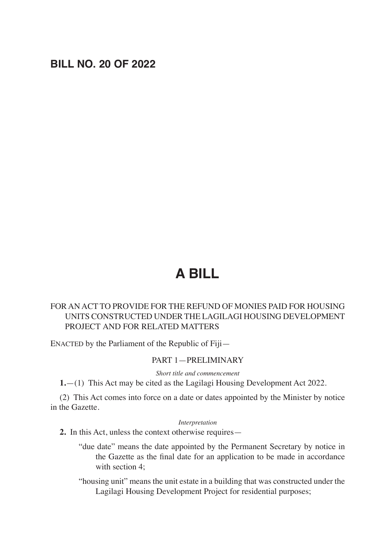# **BILL NO. 20 OF 2022**

# **A BILL**

# FOR AN ACT TO PROVIDE FOR THE REFUND OF MONIES PAID FOR HOUSING UNITS CONSTRUCTED UNDER THE LAGILAGI HOUSING DEVELOPMENT PROJECT AND FOR RELATED MATTERS

ENACTED by the Parliament of the Republic of Fiji—

#### PART 1—PRELIMINARY

*Short title and commencement*

**1.**—(1) This Act may be cited as the Lagilagi Housing Development Act 2022.

(2) This Act comes into force on a date or dates appointed by the Minister by notice in the Gazette.

*Interpretation*

**2.** In this Act, unless the context otherwise requires—

"due date" means the date appointed by the Permanent Secretary by notice in the Gazette as the final date for an application to be made in accordance with section 4;

"housing unit" means the unit estate in a building that was constructed under the Lagilagi Housing Development Project for residential purposes;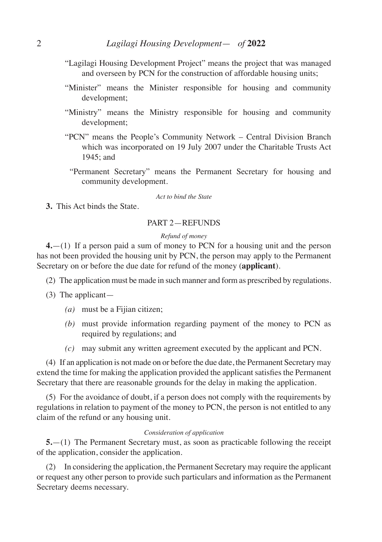- "Lagilagi Housing Development Project" means the project that was managed and overseen by PCN for the construction of affordable housing units;
- "Minister" means the Minister responsible for housing and community development;
- "Ministry" means the Ministry responsible for housing and community development;
- "PCN" means the People's Community Network Central Division Branch which was incorporated on 19 July 2007 under the Charitable Trusts Act 1945; and
	- "Permanent Secretary" means the Permanent Secretary for housing and community development.

#### *Act to bind the State*

**3.** This Act binds the State.

#### PART 2—REFUNDS

#### *Refund of money*

**4.**—(1) If a person paid a sum of money to PCN for a housing unit and the person has not been provided the housing unit by PCN, the person may apply to the Permanent Secretary on or before the due date for refund of the money (**applicant**).

- (2) The application must be made in such manner and form as prescribed by regulations.
- (3) The applicant—
	- *(a)* must be a Fijian citizen;
	- *(b)* must provide information regarding payment of the money to PCN as required by regulations; and
	- *(c)* may submit any written agreement executed by the applicant and PCN.

(4) If an application is not made on or before the due date, the Permanent Secretary may extend the time for making the application provided the applicant satisfies the Permanent Secretary that there are reasonable grounds for the delay in making the application.

(5) For the avoidance of doubt, if a person does not comply with the requirements by regulations in relation to payment of the money to PCN, the person is not entitled to any claim of the refund or any housing unit.

#### *Consideration of application*

**5.**—(1) The Permanent Secretary must, as soon as practicable following the receipt of the application, consider the application.

(2) In considering the application, the Permanent Secretary may require the applicant or request any other person to provide such particulars and information as the Permanent Secretary deems necessary.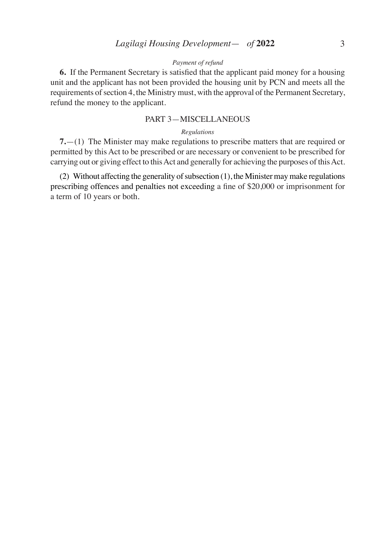#### *Payment of refund*

**6.** If the Permanent Secretary is satisfied that the applicant paid money for a housing unit and the applicant has not been provided the housing unit by PCN and meets all the requirements of section 4, the Ministry must, with the approval of the Permanent Secretary, refund the money to the applicant.

## PART 3—MISCELLANEOUS

#### *Regulations*

**7.**—(1) The Minister may make regulations to prescribe matters that are required or permitted by this Act to be prescribed or are necessary or convenient to be prescribed for carrying out or giving effect to this Act and generally for achieving the purposes of this Act.

(2) Without affecting the generality of subsection (1), the Minister may make regulations prescribing offences and penalties not exceeding a fine of \$20,000 or imprisonment for a term of 10 years or both.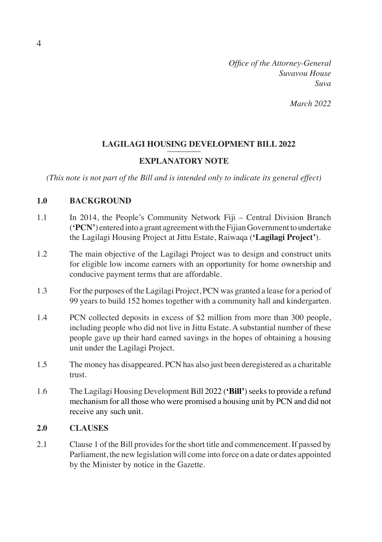*Office of the Attorney-General Suvavou House Suva*

*March 2022*

# **LAGILAGI HOUSING DEVELOPMENT BILL 2022** ––––––––

# **EXPLANATORY NOTE**

*(This note is not part of the Bill and is intended only to indicate its general effect)*

## **1.0 BACKGROUND**

- 1.1 In 2014, the People's Community Network Fiji Central Division Branch (**'PCN'**) entered into a grant agreement with the Fijian Government to undertake the Lagilagi Housing Project at Jittu Estate, Raiwaqa (**'Lagilagi Project'**).
- 1.2 The main objective of the Lagilagi Project was to design and construct units for eligible low income earners with an opportunity for home ownership and conducive payment terms that are affordable.
- 1.3 For the purposes of the Lagilagi Project, PCN was granted a lease for a period of 99 years to build 152 homes together with a community hall and kindergarten.
- 1.4 PCN collected deposits in excess of \$2 million from more than 300 people, including people who did not live in Jittu Estate. A substantial number of these people gave up their hard earned savings in the hopes of obtaining a housing unit under the Lagilagi Project.
- 1.5 The money has disappeared. PCN has also just been deregistered as a charitable trust.
- 1.6 The Lagilagi Housing Development Bill 2022 (**'Bill'**) seeks to provide a refund mechanism for all those who were promised a housing unit by PCN and did not receive any such unit.

### **2.0 CLAUSES**

2.1 Clause 1 of the Bill provides for the short title and commencement. If passed by Parliament, the new legislation will come into force on a date or dates appointed by the Minister by notice in the Gazette.